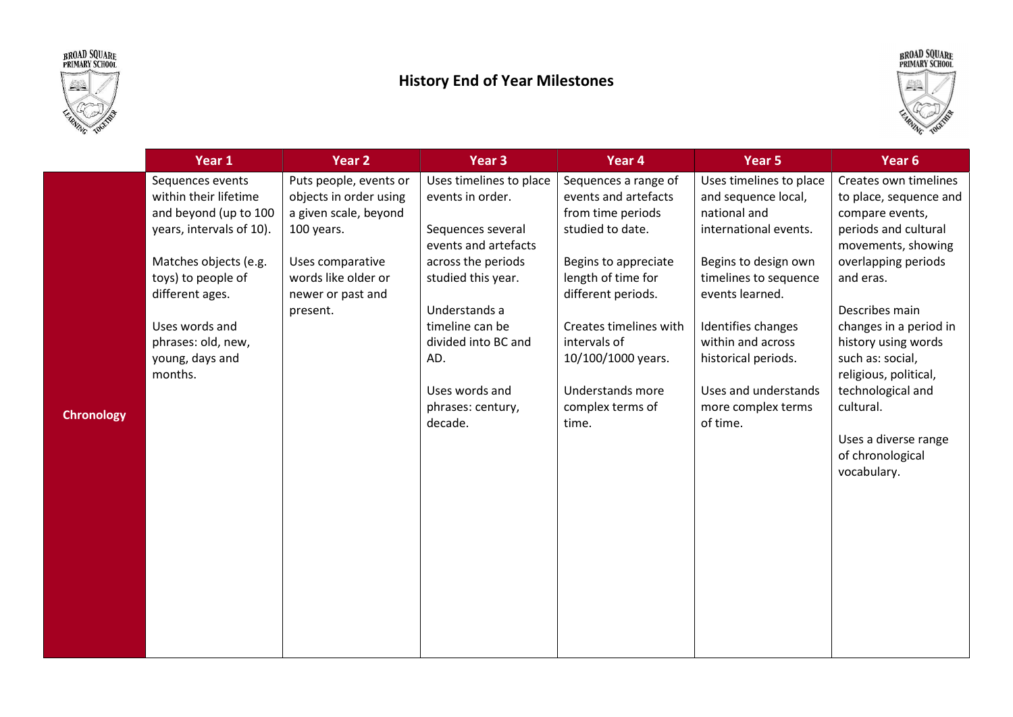



## History End of Year Milestones



|                   | Year 1                                                                                                                                                                                                                                 | Year <sub>2</sub>                                                                                                                                                   | Year <sub>3</sub>                                                                                                                                                                                                                                        | Year 4                                                                                                                                                                                                                                                                            | Year <sub>5</sub>                                                                                                                                                                                                                                                                       | Year 6                                                                                                                                                                                                                                                                                                                                                            |
|-------------------|----------------------------------------------------------------------------------------------------------------------------------------------------------------------------------------------------------------------------------------|---------------------------------------------------------------------------------------------------------------------------------------------------------------------|----------------------------------------------------------------------------------------------------------------------------------------------------------------------------------------------------------------------------------------------------------|-----------------------------------------------------------------------------------------------------------------------------------------------------------------------------------------------------------------------------------------------------------------------------------|-----------------------------------------------------------------------------------------------------------------------------------------------------------------------------------------------------------------------------------------------------------------------------------------|-------------------------------------------------------------------------------------------------------------------------------------------------------------------------------------------------------------------------------------------------------------------------------------------------------------------------------------------------------------------|
| <b>Chronology</b> | Sequences events<br>within their lifetime<br>and beyond (up to 100<br>years, intervals of 10).<br>Matches objects (e.g.<br>toys) to people of<br>different ages.<br>Uses words and<br>phrases: old, new,<br>young, days and<br>months. | Puts people, events or<br>objects in order using<br>a given scale, beyond<br>100 years.<br>Uses comparative<br>words like older or<br>newer or past and<br>present. | Uses timelines to place<br>events in order.<br>Sequences several<br>events and artefacts<br>across the periods<br>studied this year.<br>Understands a<br>timeline can be<br>divided into BC and<br>AD.<br>Uses words and<br>phrases: century,<br>decade. | Sequences a range of<br>events and artefacts<br>from time periods<br>studied to date.<br>Begins to appreciate<br>length of time for<br>different periods.<br>Creates timelines with<br>intervals of<br>10/100/1000 years.<br><b>Understands more</b><br>complex terms of<br>time. | Uses timelines to place<br>and sequence local,<br>national and<br>international events.<br>Begins to design own<br>timelines to sequence<br>events learned.<br>Identifies changes<br>within and across<br>historical periods.<br>Uses and understands<br>more complex terms<br>of time. | Creates own timelines<br>to place, sequence and<br>compare events,<br>periods and cultural<br>movements, showing<br>overlapping periods<br>and eras.<br>Describes main<br>changes in a period in<br>history using words<br>such as: social,<br>religious, political,<br>technological and<br>cultural.<br>Uses a diverse range<br>of chronological<br>vocabulary. |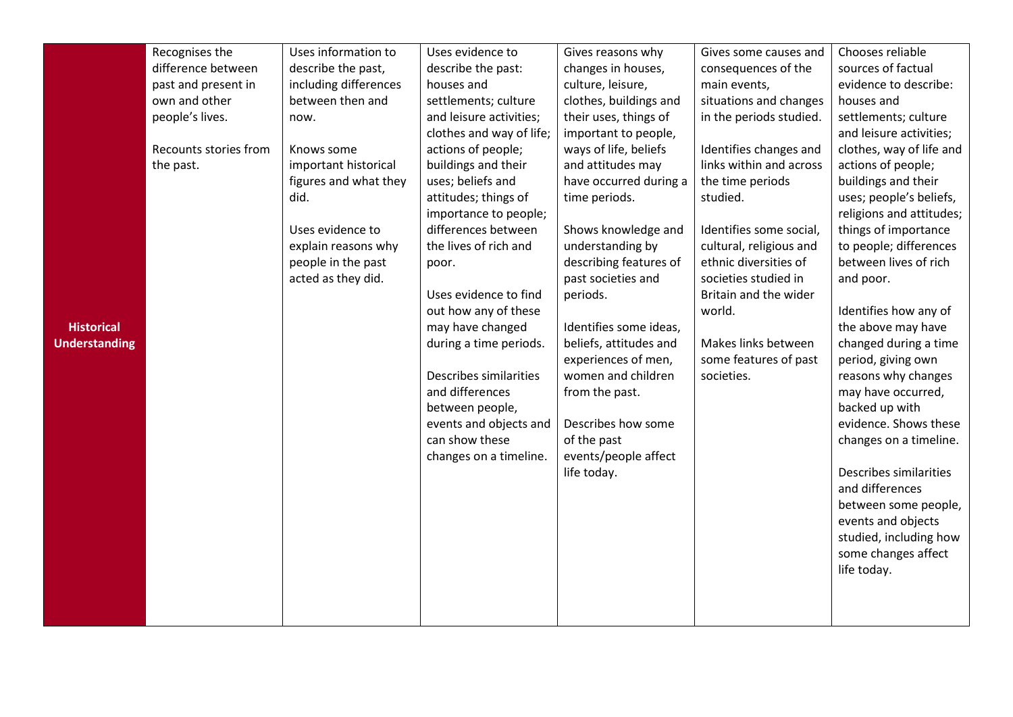|                      | Recognises the        | Uses information to   | Uses evidence to         | Gives reasons why      | Gives some causes and   | Chooses reliable                              |
|----------------------|-----------------------|-----------------------|--------------------------|------------------------|-------------------------|-----------------------------------------------|
|                      | difference between    | describe the past,    | describe the past:       | changes in houses,     | consequences of the     | sources of factual                            |
|                      | past and present in   | including differences | houses and               | culture, leisure,      | main events,            | evidence to describe:                         |
|                      | own and other         | between then and      | settlements; culture     | clothes, buildings and | situations and changes  | houses and                                    |
|                      | people's lives.       | now.                  | and leisure activities;  | their uses, things of  | in the periods studied. | settlements; culture                          |
|                      |                       |                       | clothes and way of life; | important to people,   |                         | and leisure activities;                       |
|                      | Recounts stories from | Knows some            | actions of people;       | ways of life, beliefs  | Identifies changes and  | clothes, way of life and                      |
|                      | the past.             | important historical  | buildings and their      | and attitudes may      | links within and across | actions of people;                            |
|                      |                       | figures and what they | uses; beliefs and        | have occurred during a | the time periods        | buildings and their                           |
|                      |                       | did.                  | attitudes; things of     | time periods.          | studied.                | uses; people's beliefs,                       |
|                      |                       |                       | importance to people;    |                        |                         | religions and attitudes;                      |
|                      |                       | Uses evidence to      | differences between      | Shows knowledge and    | Identifies some social, | things of importance                          |
|                      |                       | explain reasons why   | the lives of rich and    | understanding by       | cultural, religious and | to people; differences                        |
|                      |                       | people in the past    | poor.                    | describing features of | ethnic diversities of   | between lives of rich                         |
|                      |                       | acted as they did.    |                          | past societies and     | societies studied in    | and poor.                                     |
|                      |                       |                       | Uses evidence to find    | periods.               | Britain and the wider   |                                               |
|                      |                       |                       | out how any of these     |                        | world.                  | Identifies how any of                         |
| <b>Historical</b>    |                       |                       | may have changed         | Identifies some ideas, |                         | the above may have                            |
| <b>Understanding</b> |                       |                       | during a time periods.   | beliefs, attitudes and | Makes links between     | changed during a time                         |
|                      |                       |                       |                          | experiences of men,    | some features of past   | period, giving own                            |
|                      |                       |                       | Describes similarities   | women and children     | societies.              | reasons why changes                           |
|                      |                       |                       | and differences          | from the past.         |                         | may have occurred,                            |
|                      |                       |                       | between people,          |                        |                         | backed up with                                |
|                      |                       |                       | events and objects and   | Describes how some     |                         | evidence. Shows these                         |
|                      |                       |                       | can show these           | of the past            |                         | changes on a timeline.                        |
|                      |                       |                       | changes on a timeline.   | events/people affect   |                         |                                               |
|                      |                       |                       |                          | life today.            |                         | Describes similarities                        |
|                      |                       |                       |                          |                        |                         | and differences                               |
|                      |                       |                       |                          |                        |                         | between some people,                          |
|                      |                       |                       |                          |                        |                         | events and objects                            |
|                      |                       |                       |                          |                        |                         | studied, including how<br>some changes affect |
|                      |                       |                       |                          |                        |                         | life today.                                   |
|                      |                       |                       |                          |                        |                         |                                               |
|                      |                       |                       |                          |                        |                         |                                               |
|                      |                       |                       |                          |                        |                         |                                               |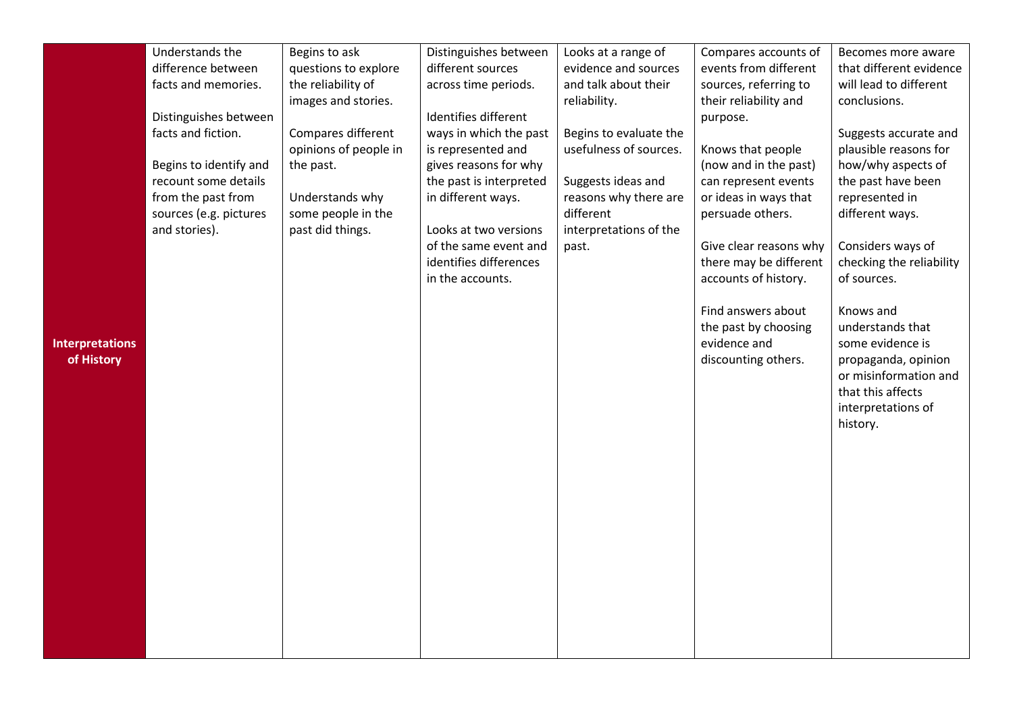|                        | Understands the        | Begins to ask         | Distinguishes between   | Looks at a range of    | Compares accounts of   | Becomes more aware       |
|------------------------|------------------------|-----------------------|-------------------------|------------------------|------------------------|--------------------------|
|                        | difference between     | questions to explore  | different sources       | evidence and sources   | events from different  | that different evidence  |
|                        | facts and memories.    | the reliability of    | across time periods.    | and talk about their   | sources, referring to  | will lead to different   |
|                        |                        | images and stories.   |                         | reliability.           | their reliability and  | conclusions.             |
|                        | Distinguishes between  |                       | Identifies different    |                        | purpose.               |                          |
|                        | facts and fiction.     | Compares different    | ways in which the past  | Begins to evaluate the |                        | Suggests accurate and    |
|                        |                        | opinions of people in | is represented and      | usefulness of sources. | Knows that people      | plausible reasons for    |
|                        | Begins to identify and | the past.             | gives reasons for why   |                        | (now and in the past)  | how/why aspects of       |
|                        | recount some details   |                       | the past is interpreted | Suggests ideas and     | can represent events   | the past have been       |
|                        | from the past from     | Understands why       | in different ways.      | reasons why there are  | or ideas in ways that  | represented in           |
|                        | sources (e.g. pictures | some people in the    |                         | different              | persuade others.       | different ways.          |
|                        | and stories).          | past did things.      | Looks at two versions   | interpretations of the |                        |                          |
|                        |                        |                       | of the same event and   | past.                  | Give clear reasons why | Considers ways of        |
|                        |                        |                       | identifies differences  |                        | there may be different | checking the reliability |
|                        |                        |                       | in the accounts.        |                        | accounts of history.   | of sources.              |
|                        |                        |                       |                         |                        |                        |                          |
|                        |                        |                       |                         |                        | Find answers about     | Knows and                |
|                        |                        |                       |                         |                        | the past by choosing   | understands that         |
| <b>Interpretations</b> |                        |                       |                         |                        | evidence and           | some evidence is         |
| of History             |                        |                       |                         |                        | discounting others.    | propaganda, opinion      |
|                        |                        |                       |                         |                        |                        | or misinformation and    |
|                        |                        |                       |                         |                        |                        | that this affects        |
|                        |                        |                       |                         |                        |                        | interpretations of       |
|                        |                        |                       |                         |                        |                        | history.                 |
|                        |                        |                       |                         |                        |                        |                          |
|                        |                        |                       |                         |                        |                        |                          |
|                        |                        |                       |                         |                        |                        |                          |
|                        |                        |                       |                         |                        |                        |                          |
|                        |                        |                       |                         |                        |                        |                          |
|                        |                        |                       |                         |                        |                        |                          |
|                        |                        |                       |                         |                        |                        |                          |
|                        |                        |                       |                         |                        |                        |                          |
|                        |                        |                       |                         |                        |                        |                          |
|                        |                        |                       |                         |                        |                        |                          |
|                        |                        |                       |                         |                        |                        |                          |
|                        |                        |                       |                         |                        |                        |                          |
|                        |                        |                       |                         |                        |                        |                          |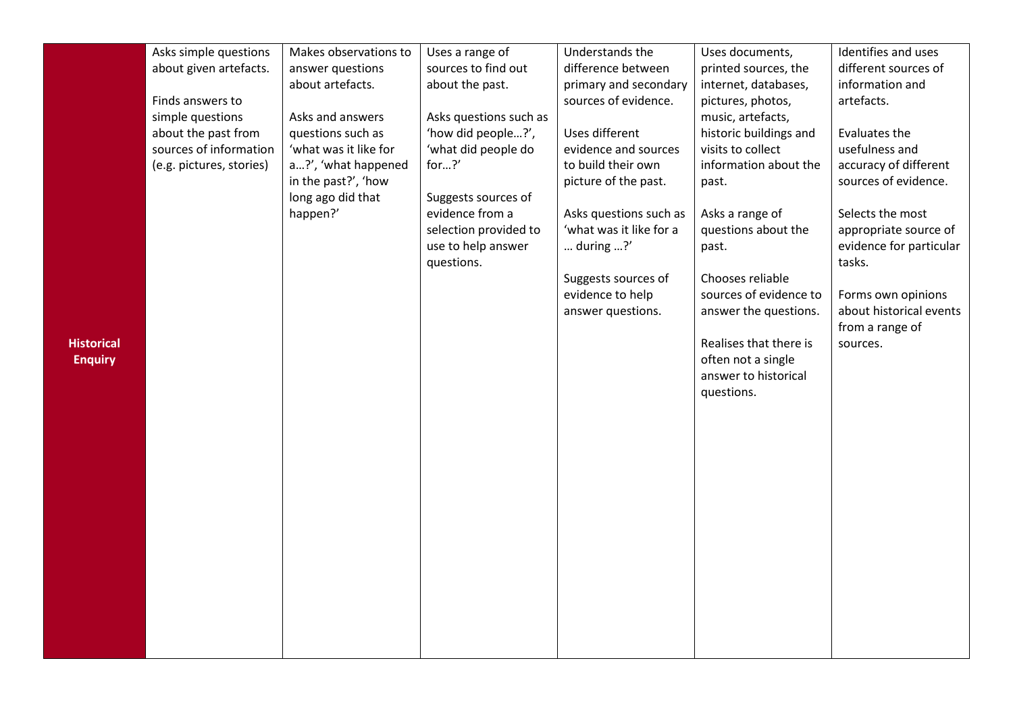|                   | Asks simple questions    | Makes observations to | Uses a range of        | Understands the         | Uses documents,                            | Identifies and uses     |
|-------------------|--------------------------|-----------------------|------------------------|-------------------------|--------------------------------------------|-------------------------|
|                   | about given artefacts.   | answer questions      | sources to find out    | difference between      | printed sources, the                       | different sources of    |
|                   |                          | about artefacts.      | about the past.        | primary and secondary   | internet, databases,                       | information and         |
|                   | Finds answers to         |                       |                        | sources of evidence.    | pictures, photos,                          | artefacts.              |
|                   | simple questions         | Asks and answers      | Asks questions such as |                         | music, artefacts,                          |                         |
|                   | about the past from      | questions such as     | 'how did people?',     | Uses different          | historic buildings and                     | Evaluates the           |
|                   | sources of information   | 'what was it like for | 'what did people do    | evidence and sources    | visits to collect                          | usefulness and          |
|                   | (e.g. pictures, stories) | a?', 'what happened   | for?'                  | to build their own      | information about the                      | accuracy of different   |
|                   |                          | in the past?', 'how   |                        | picture of the past.    | past.                                      | sources of evidence.    |
|                   |                          | long ago did that     | Suggests sources of    |                         |                                            |                         |
|                   |                          | happen?'              | evidence from a        | Asks questions such as  | Asks a range of                            | Selects the most        |
|                   |                          |                       | selection provided to  | 'what was it like for a | questions about the                        | appropriate source of   |
|                   |                          |                       | use to help answer     | during $$ ?'            | past.                                      | evidence for particular |
|                   |                          |                       | questions.             |                         |                                            | tasks.                  |
|                   |                          |                       |                        | Suggests sources of     | Chooses reliable                           |                         |
|                   |                          |                       |                        | evidence to help        | sources of evidence to                     | Forms own opinions      |
|                   |                          |                       |                        | answer questions.       | answer the questions.                      | about historical events |
|                   |                          |                       |                        |                         |                                            | from a range of         |
| <b>Historical</b> |                          |                       |                        |                         | Realises that there is                     | sources.                |
| <b>Enquiry</b>    |                          |                       |                        |                         | often not a single<br>answer to historical |                         |
|                   |                          |                       |                        |                         | questions.                                 |                         |
|                   |                          |                       |                        |                         |                                            |                         |
|                   |                          |                       |                        |                         |                                            |                         |
|                   |                          |                       |                        |                         |                                            |                         |
|                   |                          |                       |                        |                         |                                            |                         |
|                   |                          |                       |                        |                         |                                            |                         |
|                   |                          |                       |                        |                         |                                            |                         |
|                   |                          |                       |                        |                         |                                            |                         |
|                   |                          |                       |                        |                         |                                            |                         |
|                   |                          |                       |                        |                         |                                            |                         |
|                   |                          |                       |                        |                         |                                            |                         |
|                   |                          |                       |                        |                         |                                            |                         |
|                   |                          |                       |                        |                         |                                            |                         |
|                   |                          |                       |                        |                         |                                            |                         |
|                   |                          |                       |                        |                         |                                            |                         |
|                   |                          |                       |                        |                         |                                            |                         |
|                   |                          |                       |                        |                         |                                            |                         |